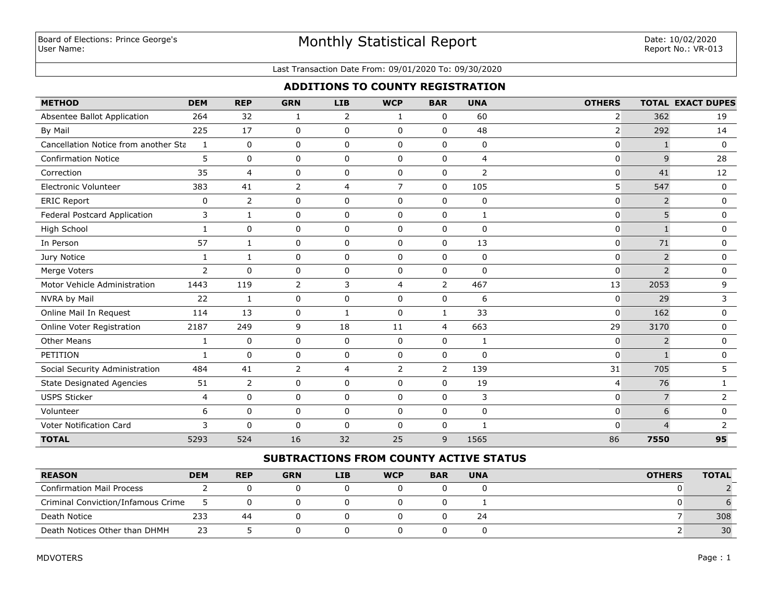# Monthly Statistical Report

#### Last Transaction Date From: 09/01/2020 To: 09/30/2020

## **ADDITIONS TO COUNTY REGISTRATION**

| <b>METHOD</b>                        | <b>DEM</b>     | <b>REP</b>     | <b>GRN</b>     | <b>LIB</b>     | <b>WCP</b>     | <b>BAR</b>     | <b>UNA</b>     | <b>OTHERS</b>  |                | <b>TOTAL EXACT DUPES</b> |
|--------------------------------------|----------------|----------------|----------------|----------------|----------------|----------------|----------------|----------------|----------------|--------------------------|
| Absentee Ballot Application          | 264            | 32             | 1              | 2              | 1              | 0              | 60             | $\overline{2}$ | 362            | 19                       |
| By Mail                              | 225            | 17             | 0              | $\mathbf 0$    | $\mathbf{0}$   | $\Omega$       | 48             | $\overline{2}$ | 292            | 14                       |
| Cancellation Notice from another Sta | $\mathbf{1}$   | $\mathbf 0$    | 0              | $\mathbf 0$    | $\Omega$       | $\Omega$       | $\mathbf 0$    | $\mathbf{0}$   | $\mathbf{1}$   | $\Omega$                 |
| <b>Confirmation Notice</b>           | 5              | $\mathbf 0$    | 0              | $\mathbf 0$    | $\Omega$       | $\Omega$       | $\overline{4}$ | 0              | 9              | 28                       |
| Correction                           | 35             | 4              | 0              | $\mathbf 0$    | $\Omega$       | 0              | $\overline{2}$ | $\mathbf{0}$   | 41             | 12                       |
| <b>Electronic Volunteer</b>          | 383            | 41             | $\overline{2}$ | 4              | $\overline{7}$ | $\Omega$       | 105            | 5              | 547            | 0                        |
| <b>ERIC Report</b>                   | 0              | $\overline{2}$ | 0              | $\mathbf 0$    | $\mathbf 0$    | 0              | 0              | 0              | $\overline{2}$ | $\mathbf 0$              |
| Federal Postcard Application         | 3              | 1              | 0              | $\Omega$       | $\Omega$       | $\Omega$       | 1              | $\mathbf{0}$   | 5              | 0                        |
| High School                          | 1              | $\mathbf 0$    | 0              | $\mathbf 0$    | $\mathbf 0$    | 0              | $\mathbf 0$    | $\mathbf{0}$   |                | $\mathbf 0$              |
| In Person                            | 57             | 1              | 0              | $\mathbf 0$    | $\mathbf 0$    | $\mathbf 0$    | 13             | $\mathbf 0$    | 71             | $\mathbf 0$              |
| Jury Notice                          | $\mathbf{1}$   | 1              | 0              | $\mathbf 0$    | $\mathbf 0$    | 0              | 0              | 0              | $\overline{2}$ | 0                        |
| Merge Voters                         | $\overline{2}$ | $\mathbf{0}$   | 0              | $\mathbf 0$    | $\mathbf 0$    | $\mathbf 0$    | $\mathbf 0$    | $\mathbf{0}$   | $\overline{2}$ | $\mathbf 0$              |
| Motor Vehicle Administration         | 1443           | 119            | 2              | 3              | $\overline{4}$ | 2              | 467            | 13             | 2053           | 9                        |
| NVRA by Mail                         | 22             | 1              | 0              | $\mathbf 0$    | $\mathbf 0$    | $\Omega$       | 6              | 0              | 29             | 3                        |
| Online Mail In Request               | 114            | 13             | 0              | 1              | $\mathbf 0$    | $\mathbf{1}$   | 33             | $\overline{0}$ | 162            | $\mathbf 0$              |
| Online Voter Registration            | 2187           | 249            | 9              | 18             | 11             | $\overline{4}$ | 663            | 29             | 3170           | $\mathbf 0$              |
| <b>Other Means</b>                   | $\mathbf{1}$   | 0              | 0              | $\mathbf 0$    | $\mathbf 0$    | 0              | $\mathbf{1}$   | 0              | $\overline{2}$ | $\mathbf 0$              |
| PETITION                             | $\mathbf{1}$   | $\mathbf 0$    | 0              | $\mathbf 0$    | $\mathbf 0$    | $\mathbf 0$    | $\mathbf 0$    | $\mathbf{0}$   | $\mathbf{1}$   | $\mathbf 0$              |
| Social Security Administration       | 484            | 41             | 2              | $\overline{4}$ | $\overline{2}$ | $\overline{2}$ | 139            | 31             | 705            | 5                        |
| <b>State Designated Agencies</b>     | 51             | $\overline{2}$ | 0              | $\mathbf 0$    | $\Omega$       | $\Omega$       | 19             | $\overline{4}$ | 76             | $\mathbf{1}$             |
| <b>USPS Sticker</b>                  | $\overline{4}$ | $\mathbf 0$    | 0              | $\mathbf 0$    | $\mathbf 0$    | $\mathbf 0$    | 3              | $\overline{0}$ | $\overline{7}$ | $\overline{2}$           |
| Volunteer                            | 6              | $\mathbf 0$    | 0              | $\mathbf 0$    | $\mathbf 0$    | $\mathbf 0$    | 0              | $\mathbf 0$    | 6              | $\mathbf 0$              |
| <b>Voter Notification Card</b>       | 3              | $\mathbf 0$    | 0              | $\mathbf 0$    | 0              | 0              | $\mathbf{1}$   | $\mathbf{0}$   | $\overline{4}$ | 2                        |
| <b>TOTAL</b>                         | 5293           | 524            | 16             | 32             | 25             | 9              | 1565           | 86             | 7550           | 95                       |

## **SUBTRACTIONS FROM COUNTY ACTIVE STATUS**

| <b>REASON</b>                      | <b>DEM</b> | <b>REP</b> | <b>GRN</b> | <b>LIB</b> | <b>WCP</b> | <b>BAR</b> | <b>UNA</b> | <b>OTHERS</b> | <b>TOTAL</b> |
|------------------------------------|------------|------------|------------|------------|------------|------------|------------|---------------|--------------|
| <b>Confirmation Mail Process</b>   |            |            |            |            |            |            |            |               |              |
| Criminal Conviction/Infamous Crime |            |            |            |            |            |            |            |               |              |
| Death Notice                       | 233        | 44         |            |            |            |            | 24         |               | 308          |
| Death Notices Other than DHMH      | 23         |            |            |            |            |            |            |               | 30           |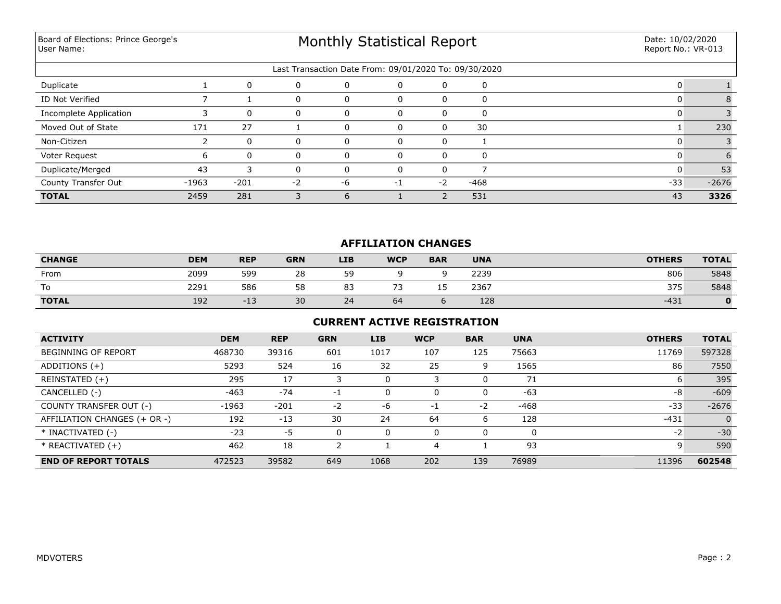Board of Elections: Prince George's User Name:

# Monthly Statistical Report

|                        | Last Transaction Date From: 09/01/2020 To: 09/30/2020 |              |          |          |          |      |          |       |         |  |
|------------------------|-------------------------------------------------------|--------------|----------|----------|----------|------|----------|-------|---------|--|
| Duplicate              |                                                       | $\mathbf{0}$ | $\Omega$ | 0        | 0        | 0    | $\Omega$ |       |         |  |
| ID Not Verified        |                                                       |              | 0        | 0        |          | 0    | $\Omega$ |       |         |  |
| Incomplete Application |                                                       | $\Omega$     | U        |          |          | O    | $\Omega$ |       |         |  |
| Moved Out of State     | 171                                                   | 27           |          |          |          | O    | 30       |       | 230     |  |
| Non-Citizen            |                                                       | $\Omega$     | $\Omega$ | 0        | $\Omega$ | 0    |          |       |         |  |
| Voter Request          | ь                                                     | $\Omega$     | $\Omega$ | $\Omega$ |          | 0    | $\Omega$ |       |         |  |
| Duplicate/Merged       | 43                                                    |              | 0        |          |          |      |          |       | 53      |  |
| County Transfer Out    | $-1963$                                               | $-201$       | -2       | -6       | - 1      | $-2$ | $-468$   | $-33$ | $-2676$ |  |
| <b>TOTAL</b>           | 2459                                                  | 281          |          | h        |          |      | 531      | 43    | 3326    |  |

## **AFFILIATION CHANGES**

| <b>CHANGE</b>                  | <b>DEM</b> | <b>REP</b>       | <b>GRN</b> | <b>LIB</b> | <b>WCP</b> | <b>BAR</b> | <b>UNA</b> | <b>OTHERS</b> | <b>TOTAL</b> |
|--------------------------------|------------|------------------|------------|------------|------------|------------|------------|---------------|--------------|
| From                           | 2099       | 599              | 28         | 59         |            |            | 2239       | 806           | 5848         |
| $\overline{\phantom{0}}$<br>١o | 2291       | 586              | 58         | 83         | $-1$       | --         | 2367       | 375           | 5848         |
| <b>TOTAL</b>                   | 192        | $\sim$<br>$-1$ . | 30         | 24         | 64         |            | 128        | $-431$        |              |

### **CURRENT ACTIVE REGISTRATION**

| <b>ACTIVITY</b>              | <b>DEM</b> | <b>REP</b> | <b>GRN</b> | <b>LIB</b> | <b>WCP</b> | <b>BAR</b> | <b>UNA</b> | <b>OTHERS</b> | <b>TOTAL</b> |
|------------------------------|------------|------------|------------|------------|------------|------------|------------|---------------|--------------|
| <b>BEGINNING OF REPORT</b>   | 468730     | 39316      | 601        | 1017       | 107        | 125        | 75663      | 11769         | 597328       |
| ADDITIONS (+)                | 5293       | 524        | 16         | 32         | 25         | 9          | 1565       | 86            | 7550         |
| REINSTATED (+)               | 295        | 17         |            |            | 3          |            | 71         | ь             | 395          |
| CANCELLED (-)                | $-463$     | $-74$      | $-1$       | 0          | 0          | 0          | $-63$      | -8            | $-609$       |
| COUNTY TRANSFER OUT (-)      | $-1963$    | $-201$     | $-2$       | $-6$       | -1         | $-2$       | $-468$     | $-33$         | $-2676$      |
| AFFILIATION CHANGES (+ OR -) | 192        | $-13$      | 30         | 24         | 64         | 6          | 128        | $-431$        | $\Omega$     |
| * INACTIVATED (-)            | $-23$      | $-5$       | 0          |            | 0          |            | 0          | $-2$          | $-30$        |
| $*$ REACTIVATED $(+)$        | 462        | 18         |            |            | 4          |            | 93         | 9             | 590          |
| <b>END OF REPORT TOTALS</b>  | 472523     | 39582      | 649        | 1068       | 202        | 139        | 76989      | 11396         | 602548       |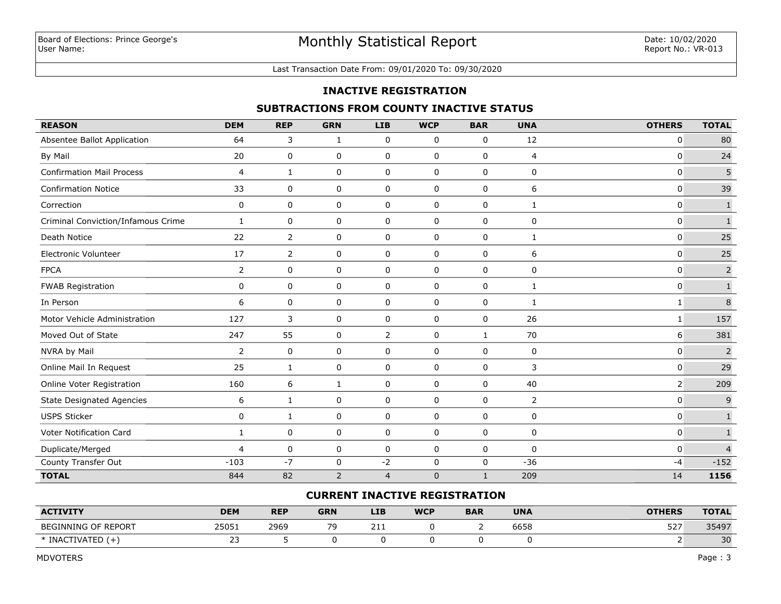#### Last Transaction Date From: 09/01/2020 To: 09/30/2020

### **INACTIVE REGISTRATION**

## **SUBTRACTIONS FROM COUNTY INACTIVE STATUS**

| <b>REASON</b>                      | <b>DEM</b>     | <b>REP</b>     | <b>GRN</b>     | <b>LIB</b>     | <b>WCP</b>  | <b>BAR</b>   | <b>UNA</b>     | <b>OTHERS</b>  | <b>TOTAL</b>   |
|------------------------------------|----------------|----------------|----------------|----------------|-------------|--------------|----------------|----------------|----------------|
| Absentee Ballot Application        | 64             | 3              | 1              | 0              | 0           | 0            | 12             | 0              | 80             |
| By Mail                            | 20             | 0              | 0              | 0              | $\mathbf 0$ | 0            | $\overline{4}$ | $\mathbf{0}$   | 24             |
| <b>Confirmation Mail Process</b>   | $\overline{4}$ | 1              | 0              | 0              | 0           | $\mathbf 0$  | 0              | 0              | 5              |
| <b>Confirmation Notice</b>         | 33             | 0              | 0              | 0              | 0           | 0            | 6              | $\mathbf 0$    | 39             |
| Correction                         | 0              | 0              | 0              | 0              | $\mathbf 0$ | $\mathbf 0$  | 1              | $\mathbf{0}$   | $\mathbf 1$    |
| Criminal Conviction/Infamous Crime | $\mathbf{1}$   | 0              | 0              | 0              | 0           | 0            | 0              | 0              | $\mathbf 1$    |
| Death Notice                       | 22             | $\overline{2}$ | 0              | 0              | $\mathbf 0$ | $\mathbf 0$  | $\mathbf{1}$   | $\mathbf 0$    | 25             |
| Electronic Volunteer               | 17             | 2              | 0              | 0              | 0           | 0            | 6              | $\mathbf 0$    | 25             |
| <b>FPCA</b>                        | $\overline{2}$ | 0              | 0              | 0              | $\mathbf 0$ | $\mathbf 0$  | 0              | $\mathbf 0$    | $\overline{2}$ |
| <b>FWAB Registration</b>           | 0              | 0              | 0              | 0              | 0           | 0            | $\mathbf{1}$   | $\mathbf 0$    | $\mathbf 1$    |
| In Person                          | 6              | 0              | 0              | 0              | 0           | 0            | 1              | 1              | $\,$ 8 $\,$    |
| Motor Vehicle Administration       | 127            | 3              | 0              | 0              | 0           | 0            | 26             | 1              | 157            |
| Moved Out of State                 | 247            | 55             | 0              | 2              | 0           | $\mathbf{1}$ | 70             | 6              | 381            |
| NVRA by Mail                       | $\overline{2}$ | 0              | 0              | 0              | 0           | 0            | 0              | 0              | $\overline{2}$ |
| Online Mail In Request             | 25             | 1              | 0              | 0              | $\mathbf 0$ | 0            | 3              | 0              | 29             |
| Online Voter Registration          | 160            | 6              | 1              | 0              | 0           | 0            | 40             | $\overline{2}$ | 209            |
| <b>State Designated Agencies</b>   | 6              | 1              | $\pmb{0}$      | 0              | $\pmb{0}$   | 0            | $\overline{2}$ | $\pmb{0}$      | $\mathsf 9$    |
| <b>USPS Sticker</b>                | 0              | $\mathbf{1}$   | 0              | 0              | 0           | 0            | 0              | 0              | $\mathbf{1}$   |
| <b>Voter Notification Card</b>     | $\mathbf{1}$   | 0              | 0              | 0              | $\mathbf 0$ | $\mathbf 0$  | 0              | $\mathbf{0}$   | $\mathbf 1$    |
| Duplicate/Merged                   | 4              | 0              | 0              | 0              | 0           | 0            | 0              | $\mathbf 0$    | $\overline{4}$ |
| County Transfer Out                | $-103$         | $-7$           | 0              | $-2$           | $\mathbf 0$ | 0            | $-36$          | -4             | $-152$         |
| <b>TOTAL</b>                       | 844            | 82             | $\overline{2}$ | $\overline{4}$ | $\mathbf 0$ | $\mathbf{1}$ | 209            | 14             | 1156           |

#### **CURRENT INACTIVE REGISTRATION**

| <b>ACTIVITY</b>                       | <b>DEM</b>      | <b>REP</b> | <b>GRN</b> | <b>LIB</b> | <b>WCP</b> | <b>BAR</b> | <b>UNA</b> | <b>OTHERS</b> | <b>TOTAL</b> |
|---------------------------------------|-----------------|------------|------------|------------|------------|------------|------------|---------------|--------------|
| BEGINNING OF REPORT                   | 25051           | 2969       | 70         | 211        |            |            | 6658       | エコフ<br>، ے כ  | 35497        |
| $\lrcorner$ iVATF" .<br>$*$ INAC<br>ᄂ | - -<br><u>.</u> |            |            |            |            |            |            |               | 30           |